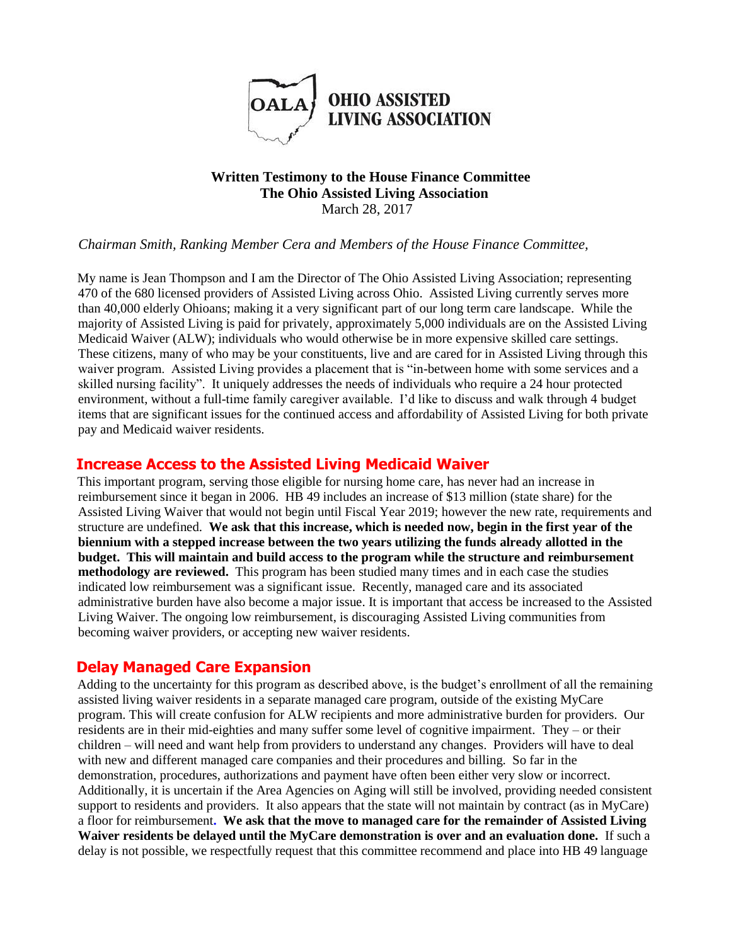

#### **Written Testimony to the House Finance Committee The Ohio Assisted Living Association**  March 28, 2017

#### *Chairman Smith, Ranking Member Cera and Members of the House Finance Committee,*

My name is Jean Thompson and I am the Director of The Ohio Assisted Living Association; representing 470 of the 680 licensed providers of Assisted Living across Ohio. Assisted Living currently serves more than 40,000 elderly Ohioans; making it a very significant part of our long term care landscape. While the majority of Assisted Living is paid for privately, approximately 5,000 individuals are on the Assisted Living Medicaid Waiver (ALW); individuals who would otherwise be in more expensive skilled care settings. These citizens, many of who may be your constituents, live and are cared for in Assisted Living through this waiver program. Assisted Living provides a placement that is "in-between home with some services and a skilled nursing facility". It uniquely addresses the needs of individuals who require a 24 hour protected environment, without a full-time family caregiver available. I'd like to discuss and walk through 4 budget items that are significant issues for the continued access and affordability of Assisted Living for both private pay and Medicaid waiver residents.

## **Increase Access to the Assisted Living Medicaid Waiver**

This important program, serving those eligible for nursing home care, has never had an increase in reimbursement since it began in 2006. HB 49 includes an increase of \$13 million (state share) for the Assisted Living Waiver that would not begin until Fiscal Year 2019; however the new rate, requirements and structure are undefined. **We ask that this increase, which is needed now, begin in the first year of the biennium with a stepped increase between the two years utilizing the funds already allotted in the budget. This will maintain and build access to the program while the structure and reimbursement methodology are reviewed.** This program has been studied many times and in each case the studies indicated low reimbursement was a significant issue. Recently, managed care and its associated administrative burden have also become a major issue. It is important that access be increased to the Assisted Living Waiver. The ongoing low reimbursement, is discouraging Assisted Living communities from becoming waiver providers, or accepting new waiver residents.

## **Delay Managed Care Expansion**

Adding to the uncertainty for this program as described above, is the budget's enrollment of all the remaining assisted living waiver residents in a separate managed care program, outside of the existing MyCare program. This will create confusion for ALW recipients and more administrative burden for providers. Our residents are in their mid-eighties and many suffer some level of cognitive impairment. They – or their children – will need and want help from providers to understand any changes. Providers will have to deal with new and different managed care companies and their procedures and billing. So far in the demonstration, procedures, authorizations and payment have often been either very slow or incorrect. Additionally, it is uncertain if the Area Agencies on Aging will still be involved, providing needed consistent support to residents and providers. It also appears that the state will not maintain by contract (as in MyCare) a floor for reimbursement**. We ask that the move to managed care for the remainder of Assisted Living Waiver residents be delayed until the MyCare demonstration is over and an evaluation done.** If such a delay is not possible, we respectfully request that this committee recommend and place into HB 49 language